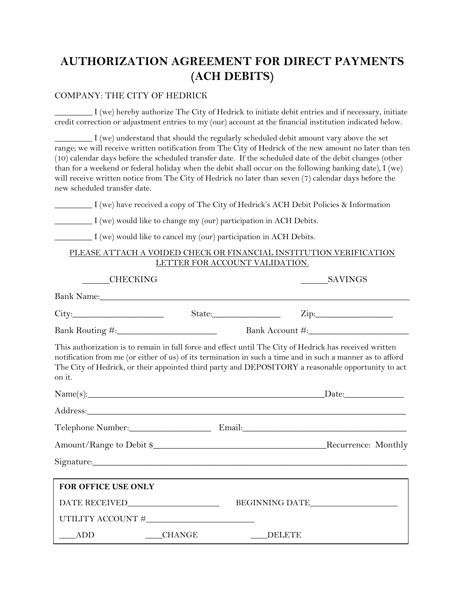# **AUTHORIZATION AGREEMENT FOR DIRECT PAYMENTS (ACH DEBITS)**

#### COMPANY: THE CITY OF HEDRICK

\_\_\_\_\_\_\_\_\_ I (we) hereby authorize The City of Hedrick to initiate debit entries and if necessary, initiate credit correction or adjustment entries to my (our) account at the financial institution indicated below.

\_\_\_\_\_\_\_\_\_ I (we) understand that should the regularly scheduled debit amount vary above the set range; we will receive written notification from The City of Hedrick of the new amount no later than ten (10) calendar days before the scheduled transfer date. If the scheduled date of the debit changes (other than for a weekend or federal holiday when the debit shall occur on the following banking date), I (we) will receive written notice from The City of Hedrick no later than seven (7) calendar days before the new scheduled transfer date.

\_\_\_\_\_\_\_\_\_ I (we) have received a copy of The City of Hedrick's ACH Debit Policies & Information

\_\_\_\_\_\_\_\_\_ I (we) would like to change my (our) participation in ACH Debits.

\_\_\_\_\_\_\_\_\_ I (we) would like to cancel my (our) participation in ACH Debits.

#### PLEASE ATTACH A VOIDED CHECK OR FINANCIAL INSTITUTION VERIFICATION LETTER FOR ACCOUNT VALIDATION.

| <b>CHECKING</b>                                                                                                                                                                                                                                                                                                                       |          | SAVINGS        |                   |
|---------------------------------------------------------------------------------------------------------------------------------------------------------------------------------------------------------------------------------------------------------------------------------------------------------------------------------------|----------|----------------|-------------------|
| Bank Name: Name and South Assembly and South Assembly and South Assembly and South Assembly and South Assembly                                                                                                                                                                                                                        |          |                |                   |
| City:                                                                                                                                                                                                                                                                                                                                 |          |                | $\mathsf{Zip:}\_$ |
|                                                                                                                                                                                                                                                                                                                                       |          |                |                   |
| This authorization is to remain in full force and effect until The City of Hedrick has received written<br>notification from me (or either of us) of its termination in such a time and in such a manner as to afford<br>The City of Hedrick, or their appointed third party and DEPOSITORY a reasonable opportunity to act<br>on it. |          |                |                   |
| $Name(s):$ Date: Date:                                                                                                                                                                                                                                                                                                                |          |                |                   |
| Address: Andreas Address: Address: Address: Address: Address: Address: Address: Address: Address: Address: Address: Address: Address: Address: Address: Address: Address: Address: Address: Address: Address: Address: Address                                                                                                        |          |                |                   |
|                                                                                                                                                                                                                                                                                                                                       |          |                |                   |
|                                                                                                                                                                                                                                                                                                                                       |          |                |                   |
|                                                                                                                                                                                                                                                                                                                                       |          |                |                   |
| FOR OFFICE USE ONLY                                                                                                                                                                                                                                                                                                                   |          |                |                   |
|                                                                                                                                                                                                                                                                                                                                       |          | BEGINNING DATE |                   |
|                                                                                                                                                                                                                                                                                                                                       |          |                |                   |
| ADD                                                                                                                                                                                                                                                                                                                                   | __CHANGE | DELETE         |                   |